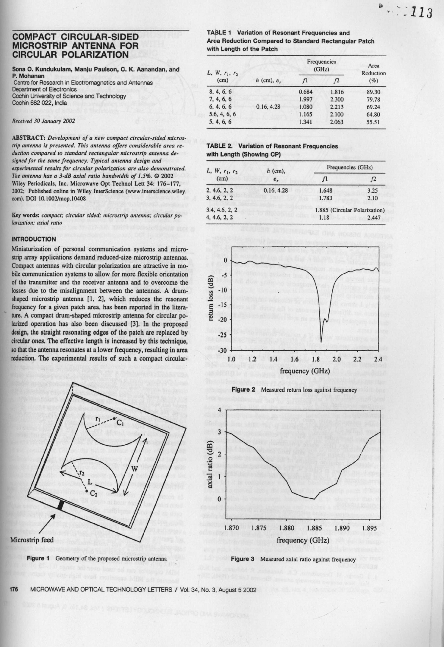# COMPACT **CIRCULAR-SIDED MICROSTRIP ANTENNA FOR** CIRCULAR POLARIZATION

## Sona O. Kundukulam, Manju Paulson, C. K. Aanandan, and **P. Mohanan** Centre for Research in Electromagnetics and Antennas

Department of Electronics Cochin University of Science and Technology Cochin 682 022, India

Received 30 January 2002

ABSTRACT: *Development of a new compact circular-sided micros*trip antenna is presented. This antenna offers considerable area re- **TABLE 2. Variation of Resonant Frequencies** *duction compared to standard rectangular microstrip antenna designed for the same frequency. Typical antenna design and experimental results for circular polarization* **are also** *demonstrated.* **77je** *antenna has a 3-dB axial ratio bandwidth of 1.5%.* ® **2002 Wiley Periodicals**, **Inc. Microwave Opt Technol** Lett 34: 176-177, 2002; Published online in Wiley **InterScience** (**www.interscience**.wiley. com). DOI 10. 1002/mop. 10408

Key words: compact; circular sided; microstrip antenna; circular po*larization; axial ratio*

# **INTRODUCTION**

Miniaturization of personal communication systems and microstrip array applications demand reduced-size microstrip **antennas.** Compact antennas with circular polarization are attractive in mobile communication systems to allow for more flexible orientation of the **transmitter** and the receiver **antenna and** to overcome the of the transmitter and the receiver antenna and to overcome the<br>losses due to the misalignment between the antennas. A drum-<br>shaped microstrip antenna [1, 2], which reduces the resonant<br>frequency for a given patch area, h shaped microstrip **antenna [1,** 2], which reduces the resonant frequency for a given patch area, has been reported in the litera-  $E^{-15}$ ture. A compact drum-shaped microstrip antenna for circular polarized operation has also been discussed [3]. In the proposed **design**, **the straight resonating edges of the** patch arc replaced by -25 **circular ones**. The effective **length is Increased** by this technique, **so that the antenna resonates** at a lower frequency, **resulting in area -30 reduction**. **The experimental results of such a compact circular- 1.0**







**TABLE 1 Variation of Resonant Frequencies and Area Reduction Compared to Standard Rectangular Patch with Length of the Patch**

| $L, W, r_1, r_2$<br>(cm) |                           | Frequencies<br>(GHz) |       | Area<br>Reduction |
|--------------------------|---------------------------|----------------------|-------|-------------------|
|                          | $h$ (cm), $\varepsilon_r$ | f <sub>1</sub>       | f2    | $(\%)$            |
| 8, 4, 6, 6               |                           | 0.684                | 1.816 | 89.30             |
| 7, 4, 6, 6               |                           | 1.997                | 2.300 | 79.78             |
| 6, 4, 6, 6               | 0.16, 4.28                | 1.080                | 2.213 | 69.24             |
| 5.6, 4, 6, 6             |                           | 1.165                | 2.100 | 64.80             |
| 5, 4, 6, 6               |                           | 1.341                | 2.063 | 55.51             |

# **with Length** (**Showing CP)**

| $L, W, r_1, r_2$<br>(cm) | $h$ (cm),<br>$\varepsilon_r$ | Frequencies (GHz)             |      |  |
|--------------------------|------------------------------|-------------------------------|------|--|
|                          |                              | f1                            | f2   |  |
| 2, 4.6, 2, 2             | 0.16, 4.28                   | 1.648                         | 3.25 |  |
| 3, 4.6, 2, 2             |                              | 1.783                         | 2.10 |  |
| 3.4, 4.6, 2, 2           |                              | 1.885 (Circular Polarization) |      |  |
| 4, 4.6, 2, 2             | 1.18<br>2.447                |                               |      |  |







**Figure 3** Measured axial ratio against frequency

**176 MICROWAVE** AND OPTICAL TECHNOLOGY LETTERS / **Vol. 34, No**. **:3, August 5 2002**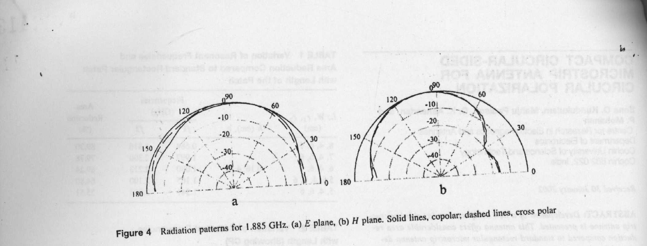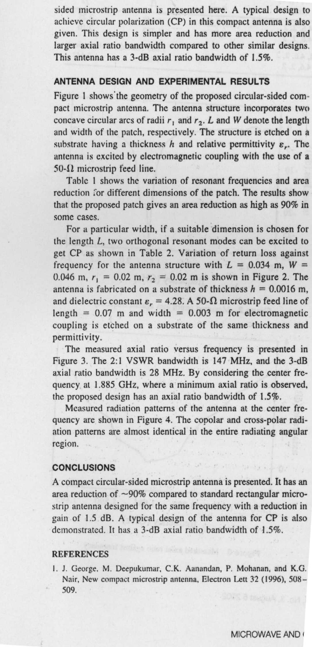sided microstrip antenna is presented here. A typical design to achieve circular polarization (CP) in this compact antenna is also given. This design is simpler and has more area reduction and larger axial ratio bandwidth compared to other similar designs. This antenna has a 3-dB axial ratio bandwidth of 1.5%.

# **ANTENNA DESIGN AND EXPERIMENTAL RESULTS**

Figure l shows'the geometry of the proposed circular-sided com pact microstrip antenna. The antenna structure incorporates two concave circular arcs of radii  $r_1$  and  $r_2$ . L and W denote the length and width of the patch, respectively. The structure is etched on a substrate having a thickness h and relative permittivity  $\varepsilon_r$ . The antenna is excited by electromagnetic coupling with the use of a  $50-\Omega$  microstrip feed line.

Table I shows the variation of resonant frequencies and area reduction for different dimensions of the patch. The results show that the proposed patch gives an area reduction as high as 90% in some cases.

For a particular width, if a suitable dimension is chosen for the length L, two orthogonal resonant modes can be excited to get CP as shown in Table 2. Variation of return loss against frequency for the antenna structure with  $L = 0.034$  m,  $W =$ 0.046 m,  $r_1 = 0.02$  m,  $r_2 = 0.02$  m is shown in Figure 2. The antenna is fabricated on a substrate of thickness  $h = 0.0016$  m, and dielectric constant  $\varepsilon_r = 4.28$ . A 50- $\Omega$  microstrip feed line of length =  $0.07$  m and width =  $0.003$  m for electromagnetic coupling is etched on a substrate of the same thickness and permittivity.

The measured axial ratio versus frequency is presented in Figure 3. The 2:1 VSWR bandwidth is 147 MHz, and the 3-dB axial ratio bandwidth is 28 MHz. By considering the center frequency at 1.885 GHz, where a minimum axial ratio is observed, the proposed design has an axial ratio bandwidth of 1.5%.

Measured radiation patterns of the antenna at the center frequency are shown in Figure 4. The copolar and cross-polar radiation patterns are almost identical in the entire radiating angular region.

#### **CONCLUSIONS**

A compact circular-**sided microstrip antenna is presented** . **It has an** area reduction of ~90% compared to standard rectangular micro**strip antenna** designed **for the same** frequency **with a reduction in** gain of 1.5 dB. A typical design of the **antenna for** CP is also demonstrated. It has a 3-dB axial ratio bandwidth of 1.5%.

### **REFERENCES**

I. J. George. M. Deepukumar, C.K. Aanandan, P. Mohanan, and K.G. Nair, New compact microstrip antenna, Electron Lett 32 (1996), 508- 509.